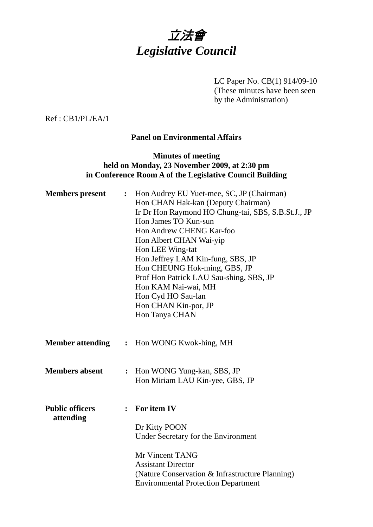

LC Paper No. CB(1) 914/09-10 (These minutes have been seen by the Administration)

Ref : CB1/PL/EA/1

## **Panel on Environmental Affairs**

## **Minutes of meeting held on Monday, 23 November 2009, at 2:30 pm in Conference Room A of the Legislative Council Building**

| <b>Members</b> present              | $\ddot{\cdot}$ | Hon Audrey EU Yuet-mee, SC, JP (Chairman)<br>Hon CHAN Hak-kan (Deputy Chairman)<br>Ir Dr Hon Raymond HO Chung-tai, SBS, S.B.St.J., JP<br>Hon James TO Kun-sun<br>Hon Andrew CHENG Kar-foo<br>Hon Albert CHAN Wai-yip<br>Hon LEE Wing-tat<br>Hon Jeffrey LAM Kin-fung, SBS, JP<br>Hon CHEUNG Hok-ming, GBS, JP<br>Prof Hon Patrick LAU Sau-shing, SBS, JP<br>Hon KAM Nai-wai, MH<br>Hon Cyd HO Sau-lan<br>Hon CHAN Kin-por, JP<br>Hon Tanya CHAN |
|-------------------------------------|----------------|-------------------------------------------------------------------------------------------------------------------------------------------------------------------------------------------------------------------------------------------------------------------------------------------------------------------------------------------------------------------------------------------------------------------------------------------------|
| <b>Member attending</b>             | $\ddot{\cdot}$ | Hon WONG Kwok-hing, MH                                                                                                                                                                                                                                                                                                                                                                                                                          |
| <b>Members absent</b>               | $\ddot{\cdot}$ | Hon WONG Yung-kan, SBS, JP<br>Hon Miriam LAU Kin-yee, GBS, JP                                                                                                                                                                                                                                                                                                                                                                                   |
| <b>Public officers</b><br>attending |                | $:$ For item IV<br>Dr Kitty POON<br>Under Secretary for the Environment<br>Mr Vincent TANG<br><b>Assistant Director</b><br>(Nature Conservation & Infrastructure Planning)<br><b>Environmental Protection Department</b>                                                                                                                                                                                                                        |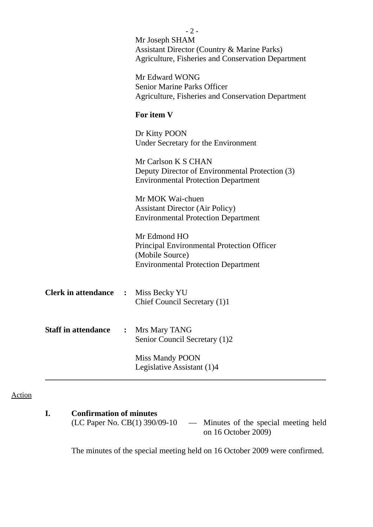|                            |                      | $-2-$<br>Mr Joseph SHAM<br>Assistant Director (Country & Marine Parks)<br><b>Agriculture, Fisheries and Conservation Department</b> |
|----------------------------|----------------------|-------------------------------------------------------------------------------------------------------------------------------------|
|                            |                      | Mr Edward WONG<br><b>Senior Marine Parks Officer</b><br>Agriculture, Fisheries and Conservation Department                          |
|                            |                      | For item V                                                                                                                          |
|                            |                      | Dr Kitty POON<br>Under Secretary for the Environment                                                                                |
|                            |                      | Mr Carlson K S CHAN<br>Deputy Director of Environmental Protection (3)<br><b>Environmental Protection Department</b>                |
|                            |                      | Mr MOK Wai-chuen<br><b>Assistant Director (Air Policy)</b><br><b>Environmental Protection Department</b>                            |
|                            |                      | Mr Edmond HO<br>Principal Environmental Protection Officer<br>(Mobile Source)<br><b>Environmental Protection Department</b>         |
| <b>Clerk in attendance</b> | $\mathbf{L}$         | Miss Becky YU<br>Chief Council Secretary (1)1                                                                                       |
| <b>Staff in attendance</b> | $\ddot{\phantom{a}}$ | Mrs Mary TANG<br>Senior Council Secretary (1)2                                                                                      |
|                            |                      | Miss Mandy POON<br>Legislative Assistant (1)4                                                                                       |

# Action

# **I. Confirmation of minutes**

(LC Paper No. CB(1) 390/09-10 — Minutes of the special meeting held on 16 October 2009)

The minutes of the special meeting held on 16 October 2009 were confirmed.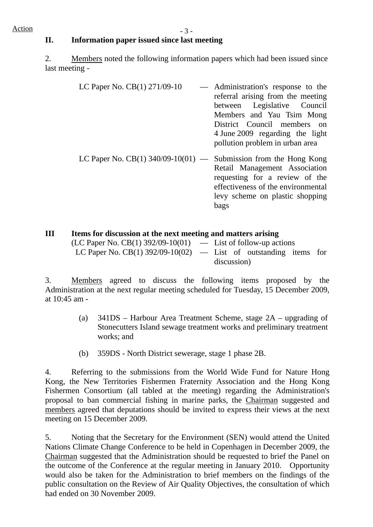## **II. Information paper issued since last meeting**

2. Members noted the following information papers which had been issued since last meeting -

- LC Paper No.  $CB(1)$  271/09-10  $\qquad$  Administration's response to the referral arising from the meeting between Legislative Council Members and Yau Tsim Mong District Council members on 4 June 2009 regarding the light pollution problem in urban area
- LC Paper No.  $CB(1)$  340/09-10(01) Submission from the Hong Kong Retail Management Association requesting for a review of the effectiveness of the environmental levy scheme on plastic shopping bags

## **III Items for discussion at the next meeting and matters arising**

| $(LC$ Paper No. CB(1) 392/09-10(01) — List of follow-up actions    |             |  |  |
|--------------------------------------------------------------------|-------------|--|--|
| LC Paper No. CB(1) $392/09-10(02)$ — List of outstanding items for |             |  |  |
|                                                                    | discussion) |  |  |

3. Members agreed to discuss the following items proposed by the Administration at the next regular meeting scheduled for Tuesday, 15 December 2009, at 10:45 am -

- (a) 341DS Harbour Area Treatment Scheme, stage 2A upgrading of Stonecutters Island sewage treatment works and preliminary treatment works; and
- (b) 359DS North District sewerage, stage 1 phase 2B.

4. Referring to the submissions from the World Wide Fund for Nature Hong Kong, the New Territories Fishermen Fraternity Association and the Hong Kong Fishermen Consortium (all tabled at the meeting) regarding the Administration's proposal to ban commercial fishing in marine parks, the Chairman suggested and members agreed that deputations should be invited to express their views at the next meeting on 15 December 2009.

5. Noting that the Secretary for the Environment (SEN) would attend the United Nations Climate Change Conference to be held in Copenhagen in December 2009, the Chairman suggested that the Administration should be requested to brief the Panel on the outcome of the Conference at the regular meeting in January 2010. Opportunity would also be taken for the Administration to brief members on the findings of the public consultation on the Review of Air Quality Objectives, the consultation of which had ended on 30 November 2009.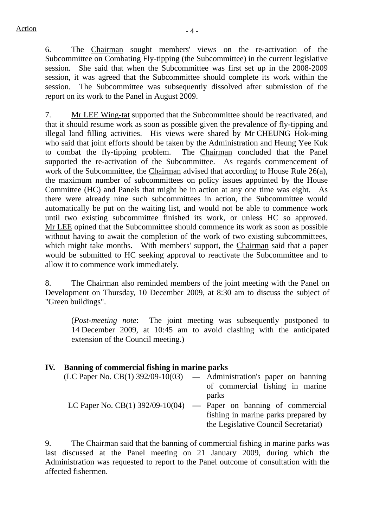6. The Chairman sought members' views on the re-activation of the Subcommittee on Combating Fly-tipping (the Subcommittee) in the current legislative session. She said that when the Subcommittee was first set up in the 2008-2009 session, it was agreed that the Subcommittee should complete its work within the session. The Subcommittee was subsequently dissolved after submission of the report on its work to the Panel in August 2009.

7. Mr LEE Wing-tat supported that the Subcommittee should be reactivated, and that it should resume work as soon as possible given the prevalence of fly-tipping and illegal land filling activities. His views were shared by Mr CHEUNG Hok-ming who said that joint efforts should be taken by the Administration and Heung Yee Kuk to combat the fly-tipping problem. The Chairman concluded that the Panel supported the re-activation of the Subcommittee. As regards commencement of work of the Subcommittee, the Chairman advised that according to House Rule 26(a), the maximum number of subcommittees on policy issues appointed by the House Committee (HC) and Panels that might be in action at any one time was eight. As there were already nine such subcommittees in action, the Subcommittee would automatically be put on the waiting list, and would not be able to commence work until two existing subcommittee finished its work, or unless HC so approved. Mr LEE opined that the Subcommittee should commence its work as soon as possible without having to await the completion of the work of two existing subcommittees, which might take months. With members' support, the Chairman said that a paper would be submitted to HC seeking approval to reactivate the Subcommittee and to allow it to commence work immediately.

8. The Chairman also reminded members of the joint meeting with the Panel on Development on Thursday, 10 December 2009, at 8:30 am to discuss the subject of "Green buildings".

(*Post-meeting note*: The joint meeting was subsequently postponed to 14 December 2009, at 10:45 am to avoid clashing with the anticipated extension of the Council meeting.)

# **IV. Banning of commercial fishing in marine parks**

| $(LC$ Paper No. $CB(1)$ 392/09-10(03) — Administration's paper on banning |                                                                     |
|---------------------------------------------------------------------------|---------------------------------------------------------------------|
|                                                                           | of commercial fishing in marine                                     |
|                                                                           | parks                                                               |
|                                                                           | LC Paper No. CB(1) $392/09-10(04)$ — Paper on banning of commercial |
|                                                                           | fishing in marine parks prepared by                                 |
|                                                                           | the Legislative Council Secretariat)                                |

9. The Chairman said that the banning of commercial fishing in marine parks was last discussed at the Panel meeting on 21 January 2009, during which the Administration was requested to report to the Panel outcome of consultation with the affected fishermen.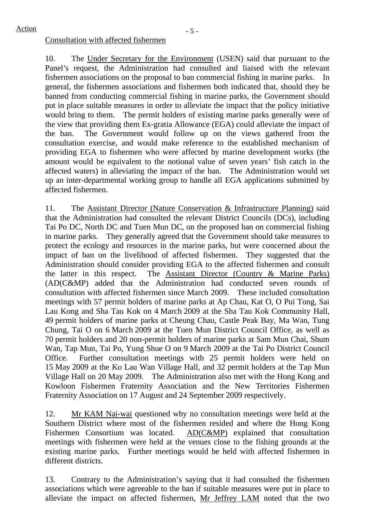#### Consultation with affected fishermen

10. The Under Secretary for the Environment (USEN) said that pursuant to the Panel's request, the Administration had consulted and liaised with the relevant fishermen associations on the proposal to ban commercial fishing in marine parks. In general, the fishermen associations and fishermen both indicated that, should they be banned from conducting commercial fishing in marine parks, the Government should put in place suitable measures in order to alleviate the impact that the policy initiative would bring to them. The permit holders of existing marine parks generally were of the view that providing them Ex-gratia Allowance (EGA) could alleviate the impact of the ban. The Government would follow up on the views gathered from the consultation exercise, and would make reference to the established mechanism of providing EGA to fishermen who were affected by marine development works (the amount would be equivalent to the notional value of seven years' fish catch in the affected waters) in alleviating the impact of the ban. The Administration would set up an inter-departmental working group to handle all EGA applications submitted by affected fishermen.

11. The Assistant Director (Nature Conservation & Infrastructure Planning) said that the Administration had consulted the relevant District Councils (DCs), including Tai Po DC, North DC and Tuen Mun DC, on the proposed ban on commercial fishing in marine parks. They generally agreed that the Government should take measures to protect the ecology and resources in the marine parks, but were concerned about the impact of ban on the livelihood of affected fishermen. They suggested that the Administration should consider providing EGA to the affected fishermen and consult the latter in this respect. The Assistant Director (Country & Marine Parks) (AD(C&MP) added that the Administration had conducted seven rounds of consultation with affected fishermen since March 2009. These included consultation meetings with 57 permit holders of marine parks at Ap Chau, Kat O, O Pui Tong, Sai Lau Kong and Sha Tau Kok on 4 March 2009 at the Sha Tau Kok Community Hall, 49 permit holders of marine parks at Cheung Chau, Castle Peak Bay, Ma Wan, Tung Chung, Tai O on 6 March 2009 at the Tuen Mun District Council Office, as well as 70 permit holders and 20 non-permit holders of marine parks at Sam Mun Chai, Shum Wan, Tap Mun, Tai Po, Yung Shue O on 9 March 2009 at the Tai Po District Council Office. Further consultation meetings with 25 permit holders were held on 15 May 2009 at the Ko Lau Wan Village Hall, and 32 permit holders at the Tap Mun Village Hall on 20 May 2009. The Administration also met with the Hong Kong and Kowloon Fishermen Fraternity Association and the New Territories Fishermen Fraternity Association on 17 August and 24 September 2009 respectively.

12. Mr KAM Nai-wai questioned why no consultation meetings were held at the Southern District where most of the fishermen resided and where the Hong Kong Fishermen Consortium was located. AD(C&MP) explained that consultation meetings with fishermen were held at the venues close to the fishing grounds at the existing marine parks. Further meetings would be held with affected fishermen in different districts.

13. Contrary to the Administration's saying that it had consulted the fishermen associations which were agreeable to the ban if suitable measures were put in place to alleviate the impact on affected fishermen, Mr Jeffrey LAM noted that the two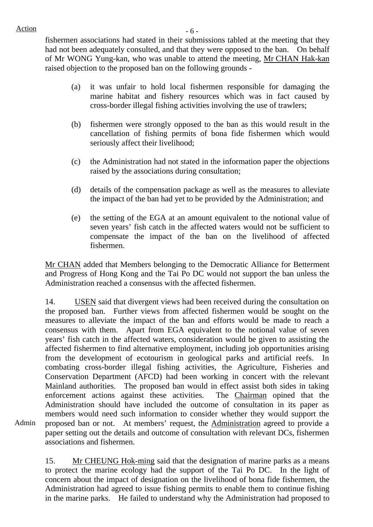$Action$  - 6 -

fishermen associations had stated in their submissions tabled at the meeting that they had not been adequately consulted, and that they were opposed to the ban. On behalf of Mr WONG Yung-kan, who was unable to attend the meeting, Mr CHAN Hak-kan raised objection to the proposed ban on the following grounds -

- (a) it was unfair to hold local fishermen responsible for damaging the marine habitat and fishery resources which was in fact caused by cross-border illegal fishing activities involving the use of trawlers;
- (b) fishermen were strongly opposed to the ban as this would result in the cancellation of fishing permits of bona fide fishermen which would seriously affect their livelihood;
- (c) the Administration had not stated in the information paper the objections raised by the associations during consultation;
- (d) details of the compensation package as well as the measures to alleviate the impact of the ban had yet to be provided by the Administration; and
- (e) the setting of the EGA at an amount equivalent to the notional value of seven years' fish catch in the affected waters would not be sufficient to compensate the impact of the ban on the livelihood of affected fishermen.

Mr CHAN added that Members belonging to the Democratic Alliance for Betterment and Progress of Hong Kong and the Tai Po DC would not support the ban unless the Administration reached a consensus with the affected fishermen.

14. USEN said that divergent views had been received during the consultation on the proposed ban. Further views from affected fishermen would be sought on the measures to alleviate the impact of the ban and efforts would be made to reach a consensus with them. Apart from EGA equivalent to the notional value of seven years' fish catch in the affected waters, consideration would be given to assisting the affected fishermen to find alternative employment, including job opportunities arising from the development of ecotourism in geological parks and artificial reefs. In combating cross-border illegal fishing activities, the Agriculture, Fisheries and Conservation Department (AFCD) had been working in concert with the relevant Mainland authorities. The proposed ban would in effect assist both sides in taking enforcement actions against these activities. The Chairman opined that the Administration should have included the outcome of consultation in its paper as members would need such information to consider whether they would support the proposed ban or not. At members' request, the Administration agreed to provide a paper setting out the details and outcome of consultation with relevant DCs, fishermen associations and fishermen.

Admin

15. Mr CHEUNG Hok-ming said that the designation of marine parks as a means to protect the marine ecology had the support of the Tai Po DC. In the light of concern about the impact of designation on the livelihood of bona fide fishermen, the Administration had agreed to issue fishing permits to enable them to continue fishing in the marine parks. He failed to understand why the Administration had proposed to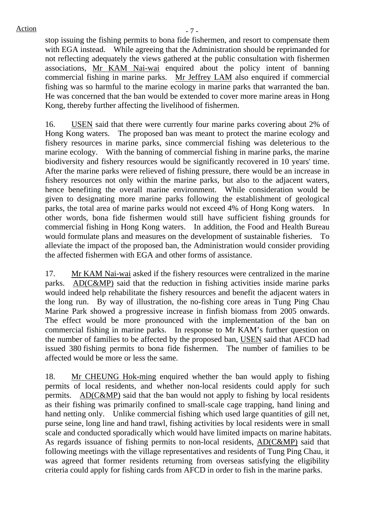stop issuing the fishing permits to bona fide fishermen, and resort to compensate them with EGA instead. While agreeing that the Administration should be reprimanded for not reflecting adequately the views gathered at the public consultation with fishermen associations, Mr KAM Nai-wai enquired about the policy intent of banning commercial fishing in marine parks. Mr Jeffrey LAM also enquired if commercial fishing was so harmful to the marine ecology in marine parks that warranted the ban. He was concerned that the ban would be extended to cover more marine areas in Hong Kong, thereby further affecting the livelihood of fishermen.

16. USEN said that there were currently four marine parks covering about 2% of Hong Kong waters. The proposed ban was meant to protect the marine ecology and fishery resources in marine parks, since commercial fishing was deleterious to the marine ecology. With the banning of commercial fishing in marine parks, the marine biodiversity and fishery resources would be significantly recovered in 10 years' time. After the marine parks were relieved of fishing pressure, there would be an increase in fishery resources not only within the marine parks, but also to the adjacent waters, hence benefiting the overall marine environment. While consideration would be given to designating more marine parks following the establishment of geological parks, the total area of marine parks would not exceed 4% of Hong Kong waters. In other words, bona fide fishermen would still have sufficient fishing grounds for commercial fishing in Hong Kong waters. In addition, the Food and Health Bureau would formulate plans and measures on the development of sustainable fisheries. To alleviate the impact of the proposed ban, the Administration would consider providing the affected fishermen with EGA and other forms of assistance.

17. Mr KAM Nai-wai asked if the fishery resources were centralized in the marine parks. AD(C&MP) said that the reduction in fishing activities inside marine parks would indeed help rehabilitate the fishery resources and benefit the adjacent waters in the long run. By way of illustration, the no-fishing core areas in Tung Ping Chau Marine Park showed a progressive increase in finfish biomass from 2005 onwards. The effect would be more pronounced with the implementation of the ban on commercial fishing in marine parks. In response to Mr KAM's further question on the number of families to be affected by the proposed ban, USEN said that AFCD had issued 380 fishing permits to bona fide fishermen. The number of families to be affected would be more or less the same.

18. Mr CHEUNG Hok-ming enquired whether the ban would apply to fishing permits of local residents, and whether non-local residents could apply for such permits. AD(C&MP) said that the ban would not apply to fishing by local residents as their fishing was primarily confined to small-scale cage trapping, hand lining and hand netting only. Unlike commercial fishing which used large quantities of gill net, purse seine, long line and hand trawl, fishing activities by local residents were in small scale and conducted sporadically which would have limited impacts on marine habitats. As regards issuance of fishing permits to non-local residents, AD(C&MP) said that following meetings with the village representatives and residents of Tung Ping Chau, it was agreed that former residents returning from overseas satisfying the eligibility criteria could apply for fishing cards from AFCD in order to fish in the marine parks.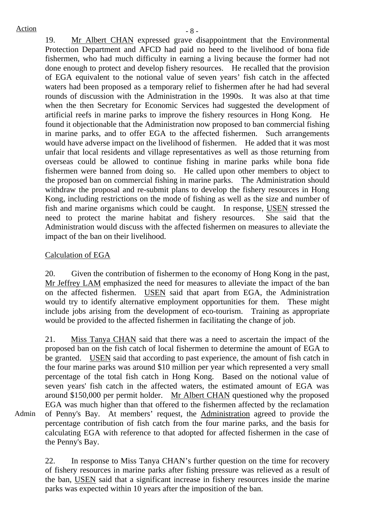Admin

 $Action$   $-8$  -19. Mr Albert CHAN expressed grave disappointment that the Environmental Protection Department and AFCD had paid no heed to the livelihood of bona fide fishermen, who had much difficulty in earning a living because the former had not done enough to protect and develop fishery resources. He recalled that the provision of EGA equivalent to the notional value of seven years' fish catch in the affected waters had been proposed as a temporary relief to fishermen after he had had several rounds of discussion with the Administration in the 1990s. It was also at that time when the then Secretary for Economic Services had suggested the development of artificial reefs in marine parks to improve the fishery resources in Hong Kong. He found it objectionable that the Administration now proposed to ban commercial fishing in marine parks, and to offer EGA to the affected fishermen. Such arrangements would have adverse impact on the livelihood of fishermen. He added that it was most unfair that local residents and village representatives as well as those returning from overseas could be allowed to continue fishing in marine parks while bona fide fishermen were banned from doing so. He called upon other members to object to the proposed ban on commercial fishing in marine parks. The Administration should withdraw the proposal and re-submit plans to develop the fishery resources in Hong Kong, including restrictions on the mode of fishing as well as the size and number of fish and marine organisms which could be caught. In response, USEN stressed the need to protect the marine habitat and fishery resources. She said that the Administration would discuss with the affected fishermen on measures to alleviate the impact of the ban on their livelihood.

## Calculation of EGA

20. Given the contribution of fishermen to the economy of Hong Kong in the past, Mr Jeffrey LAM emphasized the need for measures to alleviate the impact of the ban on the affected fishermen. USEN said that apart from EGA, the Administration would try to identify alternative employment opportunities for them. These might include jobs arising from the development of eco-tourism. Training as appropriate would be provided to the affected fishermen in facilitating the change of job.

21. Miss Tanya CHAN said that there was a need to ascertain the impact of the proposed ban on the fish catch of local fishermen to determine the amount of EGA to be granted. USEN said that according to past experience, the amount of fish catch in the four marine parks was around \$10 million per year which represented a very small percentage of the total fish catch in Hong Kong. Based on the notional value of seven years' fish catch in the affected waters, the estimated amount of EGA was around \$150,000 per permit holder. Mr Albert CHAN questioned why the proposed EGA was much higher than that offered to the fishermen affected by the reclamation of Penny's Bay. At members' request, the Administration agreed to provide the percentage contribution of fish catch from the four marine parks, and the basis for calculating EGA with reference to that adopted for affected fishermen in the case of the Penny's Bay.

22. In response to Miss Tanya CHAN's further question on the time for recovery of fishery resources in marine parks after fishing pressure was relieved as a result of the ban, USEN said that a significant increase in fishery resources inside the marine parks was expected within 10 years after the imposition of the ban.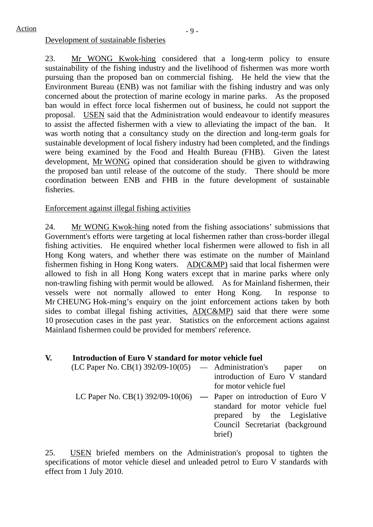#### Development of sustainable fisheries

23. Mr WONG Kwok-hing considered that a long-term policy to ensure sustainability of the fishing industry and the livelihood of fishermen was more worth pursuing than the proposed ban on commercial fishing. He held the view that the Environment Bureau (ENB) was not familiar with the fishing industry and was only concerned about the protection of marine ecology in marine parks. As the proposed ban would in effect force local fishermen out of business, he could not support the proposal. USEN said that the Administration would endeavour to identify measures to assist the affected fishermen with a view to alleviating the impact of the ban. It was worth noting that a consultancy study on the direction and long-term goals for sustainable development of local fishery industry had been completed, and the findings were being examined by the Food and Health Bureau (FHB). Given the latest development, Mr WONG opined that consideration should be given to withdrawing the proposed ban until release of the outcome of the study. There should be more coordination between ENB and FHB in the future development of sustainable fisheries.

## Enforcement against illegal fishing activities

24. Mr WONG Kwok-hing noted from the fishing associations' submissions that Government's efforts were targeting at local fishermen rather than cross-border illegal fishing activities. He enquired whether local fishermen were allowed to fish in all Hong Kong waters, and whether there was estimate on the number of Mainland fishermen fishing in Hong Kong waters. AD(C&MP) said that local fishermen were allowed to fish in all Hong Kong waters except that in marine parks where only non-trawling fishing with permit would be allowed. As for Mainland fishermen, their vessels were not normally allowed to enter Hong Kong. In response to Mr CHEUNG Hok-ming's enquiry on the joint enforcement actions taken by both sides to combat illegal fishing activities, AD(C&MP) said that there were some 10 prosecution cases in the past year. Statistics on the enforcement actions against Mainland fishermen could be provided for members' reference.

#### **V. Introduction of Euro V standard for motor vehicle fuel**

| $(LC$ Paper No. $CB(1)$ 392/09-10(05) — Administration's paper       | on                              |
|----------------------------------------------------------------------|---------------------------------|
|                                                                      | introduction of Euro V standard |
|                                                                      | for motor vehicle fuel          |
| LC Paper No. CB(1) $392/09-10(06)$ — Paper on introduction of Euro V |                                 |
|                                                                      | standard for motor vehicle fuel |
|                                                                      | prepared by the Legislative     |
|                                                                      | Council Secretariat (background |
|                                                                      | brief)                          |

25. USEN briefed members on the Administration's proposal to tighten the specifications of motor vehicle diesel and unleaded petrol to Euro V standards with effect from 1 July 2010.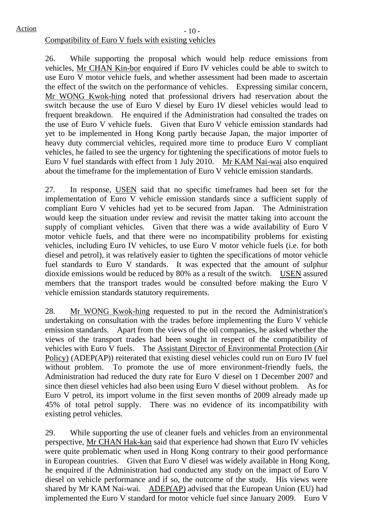## Compatibility of Euro V fuels with existing vehicles

26. While supporting the proposal which would help reduce emissions from vehicles, Mr CHAN Kin-bor enquired if Euro IV vehicles could be able to switch to use Euro V motor vehicle fuels, and whether assessment had been made to ascertain the effect of the switch on the performance of vehicles. Expressing similar concern, Mr WONG Kwok-hing noted that professional drivers had reservation about the switch because the use of Euro V diesel by Euro IV diesel vehicles would lead to frequent breakdown. He enquired if the Administration had consulted the trades on the use of Euro V vehicle fuels. Given that Euro V vehicle emission standards had yet to be implemented in Hong Kong partly because Japan, the major importer of heavy duty commercial vehicles, required more time to produce Euro V compliant vehicles, he failed to see the urgency for tightening the specifications of motor fuels to Euro V fuel standards with effect from 1 July 2010. Mr KAM Nai-wai also enquired about the timeframe for the implementation of Euro V vehicle emission standards.

27. In response, USEN said that no specific timeframes had been set for the implementation of Euro V vehicle emission standards since a sufficient supply of compliant Euro V vehicles had yet to be secured from Japan. The Administration would keep the situation under review and revisit the matter taking into account the supply of compliant vehicles. Given that there was a wide availability of Euro V motor vehicle fuels, and that there were no incompatibility problems for existing vehicles, including Euro IV vehicles, to use Euro V motor vehicle fuels (i.e. for both diesel and petrol), it was relatively easier to tighten the specifications of motor vehicle fuel standards to Euro V standards. It was expected that the amount of sulphur dioxide emissions would be reduced by 80% as a result of the switch. USEN assured members that the transport trades would be consulted before making the Euro V vehicle emission standards statutory requirements.

28. Mr WONG Kwok-hing requested to put in the record the Administration's undertaking on consultation with the trades before implementing the Euro V vehicle emission standards. Apart from the views of the oil companies, he asked whether the views of the transport trades had been sought in respect of the compatibility of vehicles with Euro V fuels. The Assistant Director of Environmental Protection (Air Policy) (ADEP(AP)) reiterated that existing diesel vehicles could run on Euro IV fuel without problem. To promote the use of more environment-friendly fuels, the Administration had reduced the duty rate for Euro V diesel on 1 December 2007 and since then diesel vehicles had also been using Euro V diesel without problem. As for Euro V petrol, its import volume in the first seven months of 2009 already made up 45% of total petrol supply. There was no evidence of its incompatibility with existing petrol vehicles.

29. While supporting the use of cleaner fuels and vehicles from an environmental perspective, Mr CHAN Hak-kan said that experience had shown that Euro IV vehicles were quite problematic when used in Hong Kong contrary to their good performance in European countries. Given that Euro V diesel was widely available in Hong Kong, he enquired if the Administration had conducted any study on the impact of Euro V diesel on vehicle performance and if so, the outcome of the study. His views were shared by Mr KAM Nai-wai. ADEP(AP) advised that the European Union (EU) had implemented the Euro V standard for motor vehicle fuel since January 2009. Euro V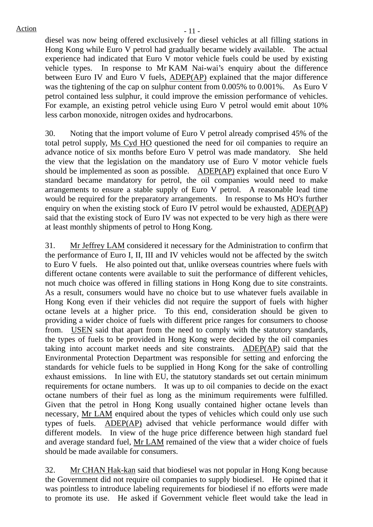$Action$   $-11$  -

diesel was now being offered exclusively for diesel vehicles at all filling stations in Hong Kong while Euro V petrol had gradually became widely available. The actual experience had indicated that Euro V motor vehicle fuels could be used by existing vehicle types. In response to Mr KAM Nai-wai's enquiry about the difference between Euro IV and Euro V fuels, ADEP(AP) explained that the major difference was the tightening of the cap on sulphur content from 0.005% to 0.001%. As Euro V petrol contained less sulphur, it could improve the emission performance of vehicles. For example, an existing petrol vehicle using Euro V petrol would emit about 10% less carbon monoxide, nitrogen oxides and hydrocarbons.

30. Noting that the import volume of Euro V petrol already comprised 45% of the total petrol supply, Ms Cyd HO questioned the need for oil companies to require an advance notice of six months before Euro V petrol was made mandatory. She held the view that the legislation on the mandatory use of Euro V motor vehicle fuels should be implemented as soon as possible. ADEP(AP) explained that once Euro V standard became mandatory for petrol, the oil companies would need to make arrangements to ensure a stable supply of Euro V petrol. A reasonable lead time would be required for the preparatory arrangements. In response to Ms HO's further enquiry on when the existing stock of Euro IV petrol would be exhausted, ADEP(AP) said that the existing stock of Euro IV was not expected to be very high as there were at least monthly shipments of petrol to Hong Kong.

31. Mr Jeffrey LAM considered it necessary for the Administration to confirm that the performance of Euro I, II, III and IV vehicles would not be affected by the switch to Euro V fuels. He also pointed out that, unlike overseas countries where fuels with different octane contents were available to suit the performance of different vehicles, not much choice was offered in filling stations in Hong Kong due to site constraints. As a result, consumers would have no choice but to use whatever fuels available in Hong Kong even if their vehicles did not require the support of fuels with higher octane levels at a higher price. To this end, consideration should be given to providing a wider choice of fuels with different price ranges for consumers to choose from. USEN said that apart from the need to comply with the statutory standards, the types of fuels to be provided in Hong Kong were decided by the oil companies taking into account market needs and site constraints. ADEP(AP) said that the Environmental Protection Department was responsible for setting and enforcing the standards for vehicle fuels to be supplied in Hong Kong for the sake of controlling exhaust emissions. In line with EU, the statutory standards set out certain minimum requirements for octane numbers. It was up to oil companies to decide on the exact octane numbers of their fuel as long as the minimum requirements were fulfilled. Given that the petrol in Hong Kong usually contained higher octane levels than necessary, Mr LAM enquired about the types of vehicles which could only use such types of fuels. ADEP(AP) advised that vehicle performance would differ with different models. In view of the huge price difference between high standard fuel and average standard fuel, Mr LAM remained of the view that a wider choice of fuels should be made available for consumers.

32. Mr CHAN Hak-kan said that biodiesel was not popular in Hong Kong because the Government did not require oil companies to supply biodiesel. He opined that it was pointless to introduce labeling requirements for biodiesel if no efforts were made to promote its use. He asked if Government vehicle fleet would take the lead in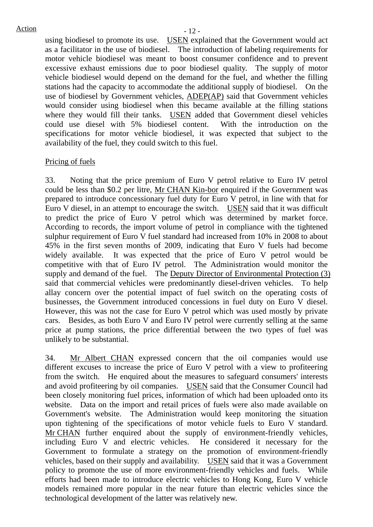using biodiesel to promote its use. USEN explained that the Government would act as a facilitator in the use of biodiesel. The introduction of labeling requirements for motor vehicle biodiesel was meant to boost consumer confidence and to prevent excessive exhaust emissions due to poor biodiesel quality. The supply of motor vehicle biodiesel would depend on the demand for the fuel, and whether the filling stations had the capacity to accommodate the additional supply of biodiesel. On the use of biodiesel by Government vehicles, ADEP(AP) said that Government vehicles would consider using biodiesel when this became available at the filling stations where they would fill their tanks. USEN added that Government diesel vehicles could use diesel with 5% biodiesel content. With the introduction on the specifications for motor vehicle biodiesel, it was expected that subject to the availability of the fuel, they could switch to this fuel.

#### Pricing of fuels

33. Noting that the price premium of Euro V petrol relative to Euro IV petrol could be less than \$0.2 per litre, Mr CHAN Kin-bor enquired if the Government was prepared to introduce concessionary fuel duty for Euro V petrol, in line with that for Euro V diesel, in an attempt to encourage the switch. USEN said that it was difficult to predict the price of Euro V petrol which was determined by market force. According to records, the import volume of petrol in compliance with the tightened sulphur requirement of Euro V fuel standard had increased from 10% in 2008 to about 45% in the first seven months of 2009, indicating that Euro V fuels had become widely available. It was expected that the price of Euro V petrol would be competitive with that of Euro IV petrol. The Administration would monitor the supply and demand of the fuel. The Deputy Director of Environmental Protection (3) said that commercial vehicles were predominantly diesel-driven vehicles. To help allay concern over the potential impact of fuel switch on the operating costs of businesses, the Government introduced concessions in fuel duty on Euro V diesel. However, this was not the case for Euro V petrol which was used mostly by private cars. Besides, as both Euro V and Euro IV petrol were currently selling at the same price at pump stations, the price differential between the two types of fuel was unlikely to be substantial.

34. Mr Albert CHAN expressed concern that the oil companies would use different excuses to increase the price of Euro V petrol with a view to profiteering from the switch. He enquired about the measures to safeguard consumers' interests and avoid profiteering by oil companies. USEN said that the Consumer Council had been closely monitoring fuel prices, information of which had been uploaded onto its website. Data on the import and retail prices of fuels were also made available on Government's website. The Administration would keep monitoring the situation upon tightening of the specifications of motor vehicle fuels to Euro V standard. Mr CHAN further enquired about the supply of environment-friendly vehicles, including Euro V and electric vehicles. He considered it necessary for the Government to formulate a strategy on the promotion of environment-friendly vehicles, based on their supply and availability. USEN said that it was a Government policy to promote the use of more environment-friendly vehicles and fuels. While efforts had been made to introduce electric vehicles to Hong Kong, Euro V vehicle models remained more popular in the near future than electric vehicles since the technological development of the latter was relatively new.